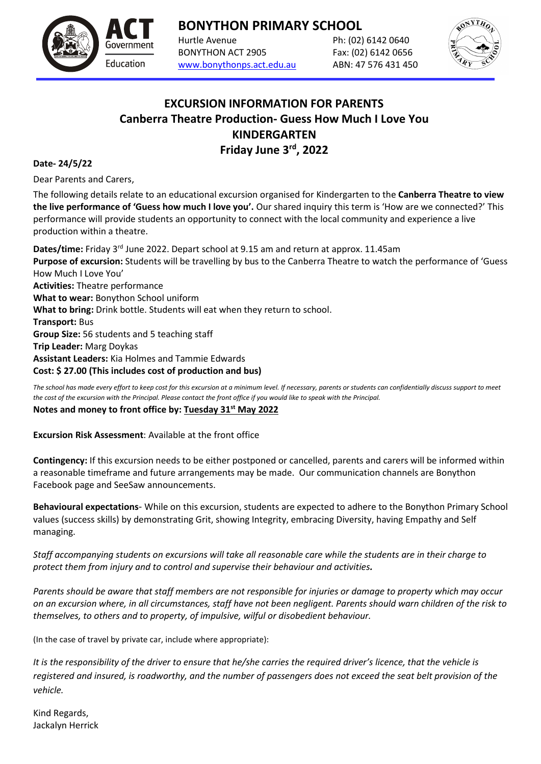**BONYTHON PRIMARY SCHOOL**

Hurtle Avenue Ph: (02) 6142 0640 BONYTHON ACT 2905 Fax: (02) 6142 0656 [www.bonythonps.act.edu.au](http://www.bonythonps.act.edu.au/) ABN: 47 576 431 450



## **EXCURSION INFORMATION FOR PARENTS Canberra Theatre Production- Guess How Much I Love You KINDERGARTEN** Friday June 3<sup>rd</sup>, 2022

### **Date- 24/5/22**

Dear Parents and Carers,

Education

The following details relate to an educational excursion organised for Kindergarten to the **Canberra Theatre to view the live performance of 'Guess how much I love you'.** Our shared inquiry this term is 'How are we connected?' This performance will provide students an opportunity to connect with the local community and experience a live production within a theatre.

**Dates/time:** Friday 3rd June 2022. Depart school at 9.15 am and return at approx. 11.45am **Purpose of excursion:** Students will be travelling by bus to the Canberra Theatre to watch the performance of 'Guess How Much I Love You' **Activities:** Theatre performance **What to wear:** Bonython School uniform **What to bring:** Drink bottle. Students will eat when they return to school. **Transport:** Bus **Group Size:** 56 students and 5 teaching staff **Trip Leader:** Marg Doykas **Assistant Leaders:** Kia Holmes and Tammie Edwards **Cost: \$ 27.00 (This includes cost of production and bus)**

*The school has made every effort to keep cost for this excursion at a minimum level. If necessary, parents or students can confidentially discuss support to meet the cost of the excursion with the Principal. Please contact the front office if you would like to speak with the Principal.*

#### **Notes and money to front office by: Tuesday 31 st May 2022**

**Excursion Risk Assessment**: Available at the front office

**Contingency:** If this excursion needs to be either postponed or cancelled, parents and carers will be informed within a reasonable timeframe and future arrangements may be made. Our communication channels are Bonython Facebook page and SeeSaw announcements.

**Behavioural expectations**- While on this excursion, students are expected to adhere to the Bonython Primary School values (success skills) by demonstrating Grit, showing Integrity, embracing Diversity, having Empathy and Self managing.

*Staff accompanying students on excursions will take all reasonable care while the students are in their charge to protect them from injury and to control and supervise their behaviour and activities.*

*Parents should be aware that staff members are not responsible for injuries or damage to property which may occur on an excursion where, in all circumstances, staff have not been negligent. Parents should warn children of the risk to themselves, to others and to property, of impulsive, wilful or disobedient behaviour.*

(In the case of travel by private car, include where appropriate):

*It is the responsibility of the driver to ensure that he/she carries the required driver's licence, that the vehicle is registered and insured, is roadworthy, and the number of passengers does not exceed the seat belt provision of the vehicle.*

Kind Regards, Jackalyn Herrick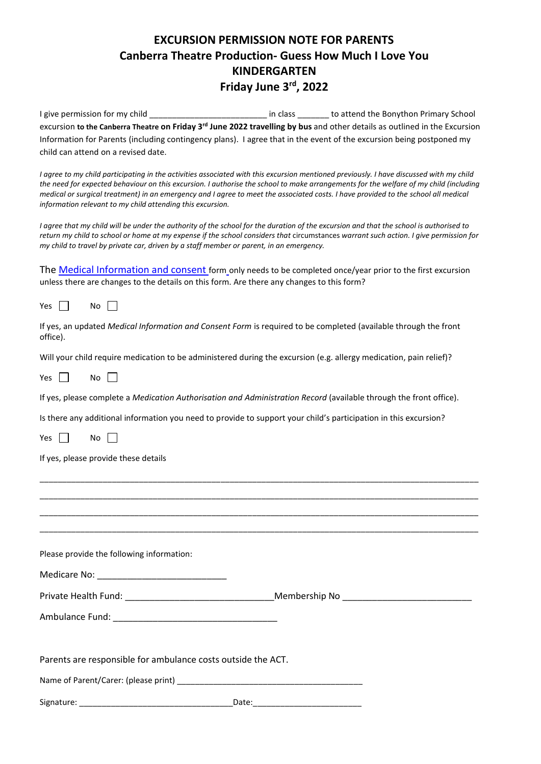# **EXCURSION PERMISSION NOTE FOR PARENTS Canberra Theatre Production- Guess How Much I Love You KINDERGARTEN** Friday June 3<sup>rd</sup>, 2022

I give permission for my child \_\_\_\_\_\_\_\_\_\_\_\_\_\_\_\_\_\_\_\_\_\_\_\_\_\_\_\_\_\_\_ in class \_\_\_\_\_\_\_\_ to attend the Bonython Primary School excursion **to the Canberra Theatre on Friday 3rd June 2022 travelling by bus** and other details as outlined in the Excursion Information for Parents (including contingency plans). I agree that in the event of the excursion being postponed my child can attend on a revised date.

*I agree to my child participating in the activities associated with this excursion mentioned previously. I have discussed with my child the need for expected behaviour on this excursion. I authorise the school to make arrangements for the welfare of my child (including medical or surgical treatment) in an emergency and I agree to meet the associated costs. I have provided to the school all medical information relevant to my child attending this excursion.*

*I agree that my child will be under the authority of the school for the duration of the excursion and that the school is authorised to return my child to school or home at my expense if the school considers that circumstances warrant such action. I give permission for my child to travel by private car, driven by a staff member or parent, in an emergency.* 

The [Medical Information and consent](https://www.education.act.gov.au/publications_and_policies/implementation-documents/school-and-corporate-policies/school-activities/excursions/excursions-policy/attachment-4-medical-information-and-consent-form) form only needs to be completed once/year prior to the first excursion unless there are changes to the details on this form. Are there any changes to this form?

Yes  $\Box$  No  $\Box$ 

|          | If yes, an updated Medical Information and Consent Form is required to be completed (available through the front |  |  |
|----------|------------------------------------------------------------------------------------------------------------------|--|--|
| office). |                                                                                                                  |  |  |

Will your child require medication to be administered during the excursion (e.g. allergy medication, pain relief)?

Yes  $\Box$  No  $\Box$ 

If yes, please complete a *Medication Authorisation and Administration Record* (available through the front office).

Is there any additional information you need to provide to support your child's participation in this excursion?

Yes  $\Box$  No  $\Box$ 

If yes, please provide these details

| <u> 1989 - John Stone, Amerikaansk politiker (* 1989)</u>    |  |
|--------------------------------------------------------------|--|
|                                                              |  |
|                                                              |  |
|                                                              |  |
| Please provide the following information:                    |  |
| Medicare No: _________________________________               |  |
|                                                              |  |
|                                                              |  |
|                                                              |  |
| Parents are responsible for ambulance costs outside the ACT. |  |
|                                                              |  |
|                                                              |  |